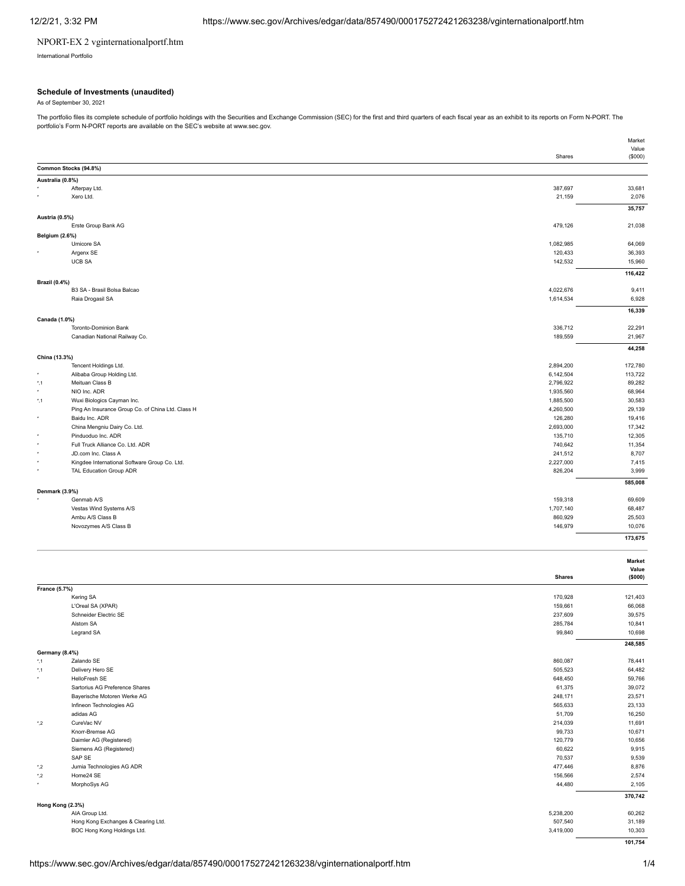## NPORT-EX 2 vginternationalportf.htm

International Portfolio

## **Schedule of Investments (unaudited)**

As of September 30, 2021

The portfolio files its complete schedule of portfolio holdings with the Securities and Exchange Commission (SEC) for the first and third quarters of each fiscal year as an exhibit to its reports on Form N-PORT. The portfolio's Form N-PORT reports are available on the SEC's website at www.sec.gov.

|                       |                                                   |                      | Market<br>Value |
|-----------------------|---------------------------------------------------|----------------------|-----------------|
|                       |                                                   | Shares               | (\$000)         |
|                       | Common Stocks (94.8%)                             |                      |                 |
| Australia (0.8%)      |                                                   |                      |                 |
|                       | Afterpay Ltd.                                     | 387,697              | 33,681          |
|                       | Xero Ltd.                                         | 21,159               | 2,076           |
|                       |                                                   |                      | 35,757          |
| Austria (0.5%)        |                                                   |                      |                 |
|                       | Erste Group Bank AG                               | 479,126              | 21,038          |
| <b>Belgium (2.6%)</b> |                                                   |                      |                 |
|                       | Umicore SA                                        | 1,082,985            | 64,069          |
|                       | Argenx SE                                         | 120,433              | 36,393          |
|                       | <b>UCB SA</b>                                     | 142,532              | 15,960          |
|                       |                                                   |                      | 116,422         |
| <b>Brazil (0.4%)</b>  |                                                   |                      |                 |
|                       | B3 SA - Brasil Bolsa Balcao                       | 4,022,676            | 9,411           |
|                       | Raia Drogasil SA                                  | 1,614,534            | 6,928           |
|                       |                                                   |                      | 16,339          |
| Canada (1.0%)         |                                                   |                      |                 |
|                       | Toronto-Dominion Bank                             | 336,712              | 22,291          |
|                       | Canadian National Railway Co.                     | 189,559              | 21,967          |
|                       |                                                   |                      | 44,258          |
| China (13.3%)         |                                                   |                      |                 |
|                       | Tencent Holdings Ltd.                             | 2,894,200            | 172,780         |
|                       | Alibaba Group Holding Ltd.                        | 6,142,504            | 113,722         |
| $^{\star}$ ,1         | Meituan Class B                                   | 2,796,922            | 89,282          |
| ٠                     | NIO Inc. ADR                                      | 1,935,560            | 68,964          |
| $^{\star}$ ,1         | Wuxi Biologics Cayman Inc.                        | 1,885,500            | 30,583          |
|                       | Ping An Insurance Group Co. of China Ltd. Class H | 4,260,500            | 29,139          |
| ٠                     | Baidu Inc. ADR                                    | 126,280              | 19,416          |
|                       | China Mengniu Dairy Co. Ltd.                      | 2,693,000            | 17,342          |
| ٠                     | Pinduoduo Inc. ADR                                | 135,710              | 12,305          |
| ٠                     | Full Truck Alliance Co. Ltd. ADR                  | 740,642              | 11,354          |
|                       | JD.com Inc. Class A                               | 241,512              | 8,707           |
| ٠                     | Kingdee International Software Group Co. Ltd.     | 2,227,000<br>826,204 | 7,415<br>3,999  |
|                       | TAL Education Group ADR                           |                      |                 |
|                       |                                                   |                      | 585,008         |
| Denmark (3.9%)        | Genmab A/S                                        | 159,318              | 69,609          |
|                       | Vestas Wind Systems A/S                           | 1,707,140            | 68,487          |
|                       | Ambu A/S Class B                                  | 860,929              | 25,503          |
|                       | Novozymes A/S Class B                             | 146,979              | 10,076          |
|                       |                                                   |                      |                 |
|                       |                                                   |                      | 173,675         |

|               |                                     | <b>Shares</b> | <b>Market</b><br>Value<br>(\$000) |
|---------------|-------------------------------------|---------------|-----------------------------------|
| France (5.7%) |                                     |               |                                   |
|               | Kering SA                           | 170,928       | 121,403                           |
|               | L'Oreal SA (XPAR)                   | 159,661       | 66,068                            |
|               | Schneider Electric SE               | 237,609       | 39,575                            |
|               | Alstom SA                           | 285,784       | 10,841                            |
|               | Legrand SA                          | 99,840        | 10,698                            |
|               |                                     |               | 248,585                           |
|               | <b>Germany (8.4%)</b>               |               |                                   |
| $^{\star}$ ,1 | Zalando SE                          | 860,087       | 78,441                            |
| $^{\star}$ ,1 | Delivery Hero SE                    | 505,523       | 64,482                            |
| $\star$       | HelloFresh SE                       | 648,450       | 59,766                            |
|               | Sartorius AG Preference Shares      | 61,375        | 39,072                            |
|               | Bayerische Motoren Werke AG         | 248,171       | 23,571                            |
|               | Infineon Technologies AG            | 565,633       | 23,133                            |
|               | adidas AG                           | 51,709        | 16,250                            |
| $^{\star}$ ,2 | CureVac NV                          | 214,039       | 11,691                            |
|               | Knorr-Bremse AG                     | 99,733        | 10,671                            |
|               | Daimler AG (Registered)             | 120,779       | 10,656                            |
|               | Siemens AG (Registered)             | 60,622        | 9,915                             |
|               | SAP SE                              | 70,537        | 9,539                             |
| $^{\star}$ ,2 | Jumia Technologies AG ADR           | 477,446       | 8,876                             |
| $^*$ .2       | Home24 SE                           | 156,566       | 2,574                             |
| $\star$       | MorphoSys AG                        | 44,480        | 2,105                             |
|               |                                     |               | 370,742                           |
|               | Hong Kong (2.3%)                    |               |                                   |
|               | AIA Group Ltd.                      | 5,238,200     | 60,262                            |
|               | Hong Kong Exchanges & Clearing Ltd. | 507,540       | 31,189                            |
|               | BOC Hong Kong Holdings Ltd.         | 3,419,000     | 10,303                            |
|               |                                     |               | 101,754                           |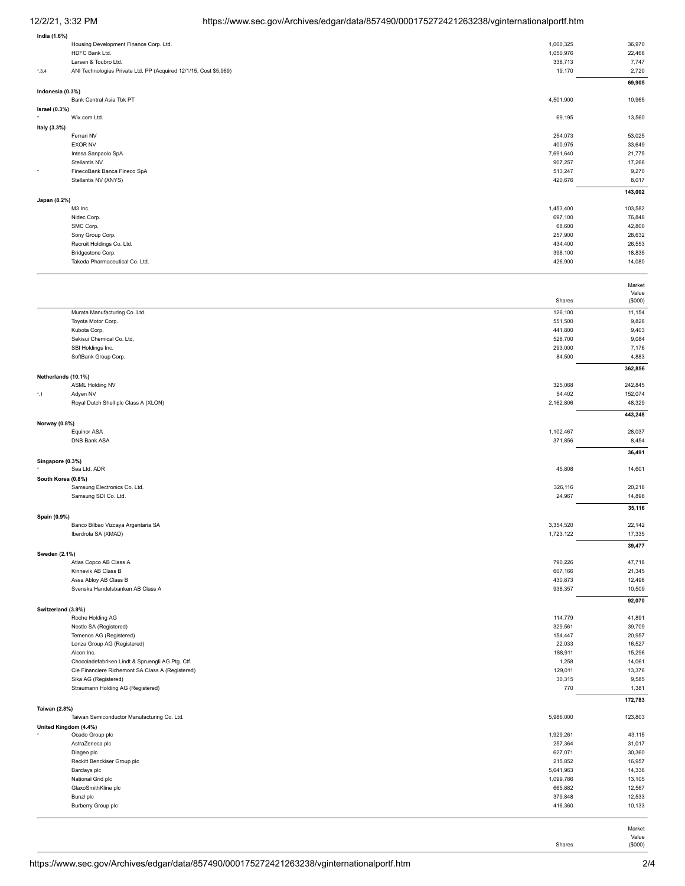# 12/2/21, 3:32 PM https://www.sec.gov/Archives/edgar/data/857490/000175272421263238/vginternationalportf.htm

| India (1.6%)      |                                                                   |           |                 |
|-------------------|-------------------------------------------------------------------|-----------|-----------------|
|                   | Housing Development Finance Corp. Ltd.                            | 1,000,325 | 36,970          |
|                   | HDFC Bank Ltd.                                                    | 1,050,976 | 22,468          |
|                   | Larsen & Toubro Ltd.                                              | 338,713   | 7,747           |
| $^{\star}$ , 3, 4 | ANI Technologies Private Ltd. PP (Acquired 12/1/15, Cost \$5,969) | 19,170    | 2,720           |
|                   |                                                                   |           | 69,905          |
| Indonesia (0.3%)  |                                                                   |           |                 |
|                   | Bank Central Asia Tbk PT                                          | 4,501,900 | 10,965          |
| Israel $(0.3%)$   |                                                                   |           |                 |
| $\star$           | Wix.com Ltd.                                                      | 69,195    | 13,560          |
| Italy (3.3%)      |                                                                   |           |                 |
|                   | Ferrari NV                                                        | 254,073   | 53,025          |
|                   | <b>EXOR NV</b>                                                    | 400,975   | 33,649          |
|                   | Intesa Sanpaolo SpA                                               | 7,691,640 | 21,775          |
|                   | Stellantis NV                                                     | 907,257   | 17,266          |
| ۰                 | FinecoBank Banca Fineco SpA                                       | 513,247   | 9,270           |
|                   | Stellantis NV (XNYS)                                              | 420,676   | 8,017           |
|                   |                                                                   |           | 143,002         |
| Japan (8.2%)      |                                                                   |           |                 |
|                   | M3 Inc.                                                           | 1,453,400 | 103,582         |
|                   | Nidec Corp.                                                       | 697,100   | 76,848          |
|                   | SMC Corp.                                                         | 68,600    | 42,800          |
|                   | Sony Group Corp.                                                  | 257,900   | 28,632          |
|                   | Recruit Holdings Co. Ltd.                                         | 434,400   | 26,553          |
|                   | Bridgestone Corp.                                                 | 398,100   | 18,835          |
|                   | Takeda Pharmaceutical Co. Ltd.                                    | 426,900   | 14,080          |
|                   |                                                                   |           |                 |
|                   |                                                                   |           | Market<br>Value |
|                   |                                                                   | Shares    | (\$000)         |
|                   | Murata Manufacturing Co. Ltd.                                     | 126,100   | 11,154          |

| Murata Manufacturing Co. Ltd.                                | 126,100   | 11,154  |
|--------------------------------------------------------------|-----------|---------|
| Toyota Motor Corp.                                           | 551,500   | 9,826   |
| Kubota Corp.                                                 | 441,800   | 9,403   |
| Sekisui Chemical Co. Ltd.                                    | 528,700   | 9,084   |
| SBI Holdings Inc.                                            | 293,000   | 7,176   |
| SoftBank Group Corp.                                         | 84,500    | 4,883   |
|                                                              |           | 362,856 |
| Netherlands (10.1%)                                          |           |         |
| <b>ASML Holding NV</b>                                       | 325,068   | 242,845 |
| Adyen NV<br>*,1                                              | 54,402    | 152,074 |
| Royal Dutch Shell plc Class A (XLON)                         | 2,162,806 | 48,329  |
| Norway (0.8%)                                                |           | 443,248 |
| Equinor ASA                                                  | 1,102,467 | 28,037  |
| <b>DNB Bank ASA</b>                                          | 371,856   | 8,454   |
|                                                              |           | 36,491  |
| Singapore (0.3%)                                             |           |         |
| Sea Ltd. ADR                                                 | 45,808    | 14,601  |
| South Korea (0.8%)                                           |           |         |
| Samsung Electronics Co. Ltd.                                 | 326,116   | 20,218  |
| Samsung SDI Co. Ltd.                                         | 24,967    | 14,898  |
|                                                              |           | 35,116  |
| Spain (0.9%)<br>Banco Bilbao Vizcaya Argentaria SA           | 3,354,520 | 22,142  |
| Iberdrola SA (XMAD)                                          | 1,723,122 | 17,335  |
|                                                              |           | 39,477  |
| Sweden (2.1%)                                                |           |         |
| Atlas Copco AB Class A                                       | 790,226   | 47,718  |
| Kinnevik AB Class B                                          | 607,166   | 21,345  |
| Assa Abloy AB Class B                                        | 430,873   | 12,498  |
| Svenska Handelsbanken AB Class A                             | 938,357   | 10,509  |
|                                                              |           | 92,070  |
| Switzerland (3.9%)<br>Roche Holding AG                       | 114,779   | 41,891  |
| Nestle SA (Registered)                                       | 329,561   | 39,709  |
| Temenos AG (Registered)                                      | 154,447   | 20,957  |
| Lonza Group AG (Registered)                                  | 22,033    | 16,527  |
| Alcon Inc.                                                   | 188,911   | 15,296  |
| Chocoladefabriken Lindt & Spruengli AG Ptg. Ctf.             | 1,258     | 14,061  |
| Cie Financiere Richemont SA Class A (Registered)             | 129,011   | 13,376  |
| Sika AG (Registered)                                         | 30,315    | 9,585   |
| Straumann Holding AG (Registered)                            | 770       | 1,381   |
|                                                              |           | 172,783 |
| Taiwan (2.8%)<br>Taiwan Semiconductor Manufacturing Co. Ltd. | 5,986,000 | 123,803 |
| United Kingdom (4.4%)                                        |           |         |
| Ocado Group plc                                              | 1,929,261 | 43,115  |
| AstraZeneca plc                                              | 257,364   | 31,017  |
| Diageo plc                                                   | 627,071   | 30,360  |
| Reckitt Benckiser Group plc                                  | 215,852   | 16,957  |
| Barclays plc                                                 | 5,641,963 | 14,336  |
| National Grid plc                                            | 1,099,786 | 13,105  |
| GlaxoSmithKline plc                                          | 665,882   | 12,567  |
| Bunzl plc                                                    | 379,848   | 12,533  |
| Burberry Group plc                                           | 416,360   | 10,133  |
|                                                              |           |         |
|                                                              |           | Market  |
|                                                              |           | Value   |
|                                                              | Shares    | (\$000) |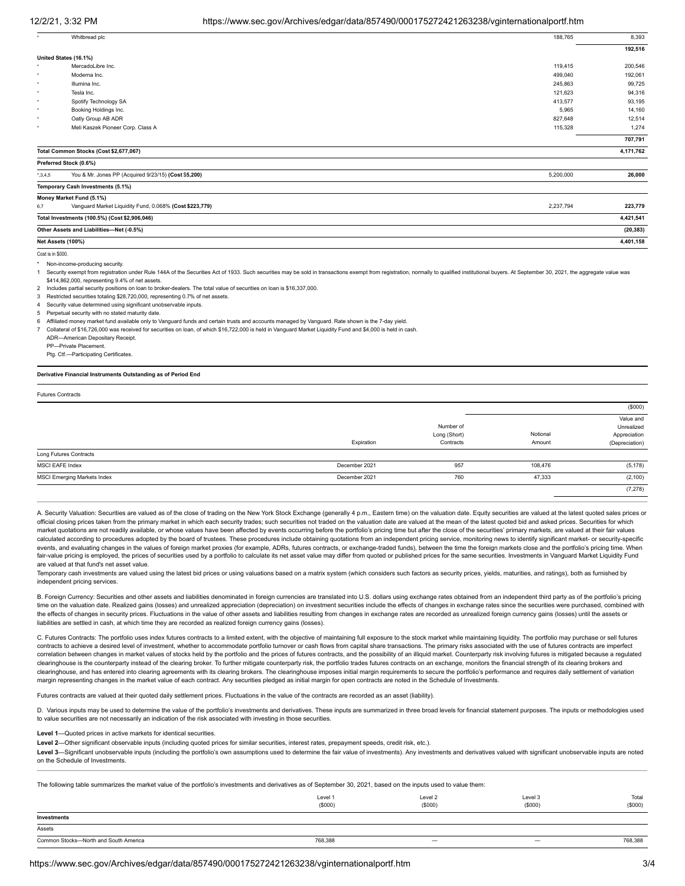## 12/2/21, 3:32 PM https://www.sec.gov/Archives/edgar/data/857490/000175272421263238/vginternationalportf.htm

|                   | Whitbread plc                                           | 188,765   | 8,393     |
|-------------------|---------------------------------------------------------|-----------|-----------|
|                   |                                                         |           | 192,516   |
|                   | United States (16.1%)                                   |           |           |
| ٠                 | MercadoLibre Inc.                                       | 119,415   | 200,546   |
| ٠                 | Moderna Inc.                                            | 499,040   | 192,061   |
| $\star$           | Illumina Inc.                                           | 245,863   | 99,725    |
| $\star$           | Tesla Inc.                                              | 121,623   | 94,316    |
| ٠                 | Spotify Technology SA                                   | 413,577   | 93,195    |
| ۰                 | Booking Holdings Inc.                                   | 5,965     | 14,160    |
| ۰                 | Oatly Group AB ADR                                      | 827,648   | 12,514    |
| $\star$           | Meli Kaszek Pioneer Corp. Class A                       | 115,328   | 1,274     |
|                   |                                                         |           | 707,791   |
|                   | Total Common Stocks (Cost \$2,677,067)                  |           | 4,171,762 |
|                   | Preferred Stock (0.6%)                                  |           |           |
| $^*,3,4,5$        | You & Mr. Jones PP (Acquired 9/23/15) (Cost \$5,200)    | 5,200,000 | 26,000    |
|                   | Temporary Cash Investments (5.1%)                       |           |           |
|                   | Money Market Fund (5.1%)                                |           |           |
| 6,7               | Vanguard Market Liquidity Fund, 0.068% (Cost \$223,779) | 2,237,794 | 223,779   |
|                   | Total Investments (100.5%) (Cost \$2,906,046)           |           | 4,421,541 |
|                   | Other Assets and Liabilities-Net (-0.5%)                |           | (20, 383) |
|                   | Net Assets (100%)                                       |           | 4,401,158 |
| Cost is in \$000. |                                                         |           |           |

Non-income-producing security.

Security exempt from registration under Rule 144A of the Securities Act of 1933. Such securities may be sold in transactions exempt from registration, normally to qualified institutional buyers. At September 30, 2021, the \$414,862,000, representing 9.4% of net assets.

2 Includes partial security positions on loan to broker-dealers. The total value of securities on loan is \$16,337,000.

3 Restricted securities totaling \$28,720,000, representing 0.7% of net assets.

Security value determined using significant unobservable inputs.

5 Perpetual security with no stated maturity date.

6 Affiliated money market fund available only to Vanguard funds and certain trusts and accounts managed by Vanguard. Rate shown is the 7-day yield.

7 Collateral of \$16,726,000 was received for securities on loan, of which \$16,722,000 is held in Vanguard Market Liquidity Fund and \$4,000 is held in cash.

ADR—American Depositary Receipt.

PP—Private Placement.

Ptg. Ctf.—Participating Certificates.

#### **Derivative Financial Instruments Outstanding as of Period End**

Futures Contracts

|                                    |               |                                        |                    | (\$000)                                                   |
|------------------------------------|---------------|----------------------------------------|--------------------|-----------------------------------------------------------|
|                                    | Expiration    | Number of<br>Long (Short)<br>Contracts | Notional<br>Amount | Value and<br>Unrealized<br>Appreciation<br>(Depreciation) |
| Long Futures Contracts             |               |                                        |                    |                                                           |
| MSCI EAFE Index                    | December 2021 | 957                                    | 108,476            | (5, 178)                                                  |
| <b>MSCI Emerging Markets Index</b> | December 2021 | 760                                    | 47,333             | (2, 100)                                                  |
|                                    |               |                                        |                    | (7, 278)                                                  |

A. Security Valuation: Securities are valued as of the close of trading on the New York Stock Exchange (generally 4 p.m., Eastern time) on the valuation date. Equity securities are valued at the latest quoted sales prices official closing prices taken from the primary market in which each security trades; such securities not traded on the valuation date are valued at the mean of the latest quoted bid and asked prices. Securities for which market quotations are not readily available, or whose values have been affected by events occurring before the portfolio's pricing time but after the close of the securities' primary markets, are valued at their fair value calculated according to procedures adopted by the board of trustees. These procedures include obtaining quotations from an independent pricing service, monitoring news to identify significant market- or security-specific events, and evaluating changes in the values of foreign market proxies (for example, ADRs, futures contracts, or exchange-traded funds), between the time the foreign markets close and the portfolio's pricing time. When fair-value pricing is employed, the prices of securities used by a portfolio to calculate its net asset value may differ from quoted or published prices for the same securities. Investments in Vanguard Market Liquidity Fun are valued at that fund's net asset value.

Temporary cash investments are valued using the latest bid prices or using valuations based on a matrix system (which considers such factors as security prices, yields, maturities, and ratings), both as furnished by independent pricing services.

B. Foreign Currency: Securities and other assets and liabilities denominated in foreign currencies are translated into U.S. dollars using exchange rates obtained from an independent third party as of the portfolio's pricing time on the valuation date. Realized gains (losses) and unrealized appreciation (depreciation) on investment securities include the effects of changes in exchange rates since the securities were purchased, combined with the effects of changes in security prices. Fluctuations in the value of other assets and liabilities resulting from changes in exchange rates are recorded as unrealized foreign currency gains (losses) until the assets or liabilities are settled in cash, at which time they are recorded as realized foreign currency gains (losses).

C. Futures Contracts: The portfolio uses index futures contracts to a limited extent, with the objective of maintaining full exposure to the stock market while maintaining liquidity. The portfolio may purchase or sell futu contracts to achieve a desired level of investment, whether to accommodate portfolio turnover or cash flows from capital share transactions. The primary risks associated with the use of futures contracts are imperfect correlation between changes in market values of stocks held by the portfolio and the prices of futures contracts, and the possibility of an illiquid market. Counterparty risk involving futures is mitigated because a regula clearinghouse is the counterparty instead of the clearing broker. To further mitigate counterparty risk, the portfolio trades futures contracts on an exchange, monitors the financial strength of its clearing brokers and clearinghouse, and has entered into clearing agreements with its clearing brokers. The clearinghouse imposes initial margin requirements to secure the portfolio's performance and requires daily settlement of variation margin representing changes in the market value of each contract. Any securities pledged as initial margin for open contracts are noted in the Schedule of Investments.

Futures contracts are valued at their quoted daily settlement prices. Fluctuations in the value of the contracts are recorded as an asset (liability).

D. Various inputs may be used to determine the value of the portfolio's investments and derivatives. These inputs are summarized in three broad levels for financial statement purposes. The inputs or methodologies used to value securities are not necessarily an indication of the risk associated with investing in those securities.

#### **Level 1**—Quoted prices in active markets for identical securities.

**Level 2**—Other significant observable inputs (including quoted prices for similar securities, interest rates, prepayment speeds, credit risk, etc.).

Level 3-Significant unobservable inputs (including the portfolio's own assumptions used to determine the fair value of investments). Any investments and derivatives valued with significant unobservable inputs are noted on the Schedule of Investments.

The following table summarizes the market value of the portfolio's investments and derivatives as of September 30, 2021, based on the inputs used to value them:

|                                       | Level 1<br>(\$000) | Level 2<br>(\$000) | Level 3<br>(S000)        | Total<br>(\$000) |
|---------------------------------------|--------------------|--------------------|--------------------------|------------------|
| Investments                           |                    |                    |                          |                  |
| Assets                                |                    |                    |                          |                  |
| Common Stocks-North and South America | 768,388            |                    | $\overline{\phantom{0}}$ | 768,388          |